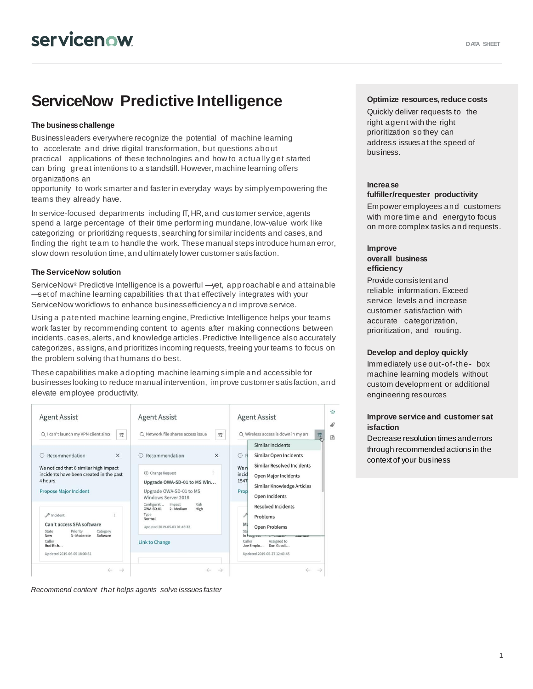# **ServiceNow Predictive Intelligence**

# **The businesschallenge**

Business leaders everywhere recognize the potential of machine learning to accelerate and drive digital transformation, but questions about practical applications of these technologies and how to actually get started can bring great intentions to a standstill. However, machine learning offers organizations an

opportunity to work smarter and fasterin everyday ways by simplyempowering the teams they already have.

In service-focused departments including IT, HR, and customer service, agents spend a large percentage of their time performing mundane, low-value work like categorizing or prioritizing requests, searching for similar incidents and cases, and finding the right team to handle the work. These manual steps introduce human error, slow down resolution time, and ultimately lower customer satisfaction.

# **The ServiceNow solution**

ServiceNow® Predictive Intelligence is a powerful —yet, approachable and attainable —set of machine learning capabilities that that effectively integrates with your ServiceNow workflows to enhance businessefficiency and improve service.

Using a patented machine learning engine, Predictive Intelligence helps your teams work faster by recommending content to agents after making connections between incidents, cases, alerts, and knowledge articles. Predictive Intelligence also accurately categorizes, assigns,and prioritizes incoming requests, freeing yourteams to focus on the problem solving that humans do best.

These capabilities make adopting machine learning simple and accessible for businesses looking to reduce manual intervention, improve customer satisfaction, and elevate employee productivity.



*Recommend content that helps agents solve isssues faster*

### **Optimize resources,reduce costs**

Quickly deliver requests to the right agent with the right prioritization so they can address issues at the speed of business.

#### **Increase fulfiller/requester productivity**

Empower employees and customers with more time and energyto focus on more complex tasks and requests.

# **Improve overall business efficiency**

Provide consistent and reliable information. Exceed service levels and increase customer satisfaction with accurate categorization, prioritization, and routing.

#### **Develop and deploy quickly**

Immediately use out-of-the- box machine learning models without custom development or additional engineering resources

# **Improve service and customer sat isfaction**

Decrease resolution times and errors through recommended actions in the context of your business